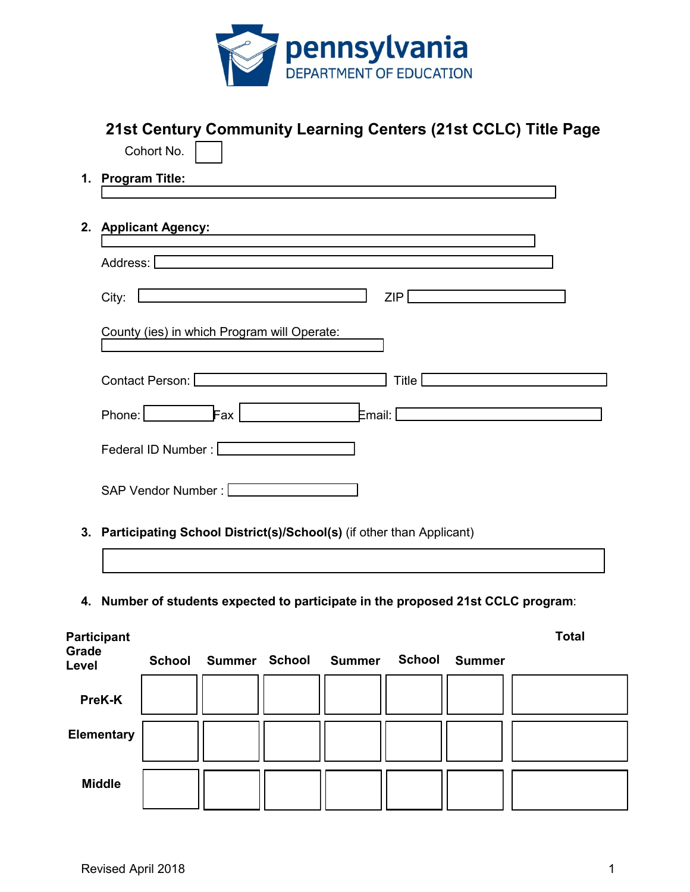

|       | 21st Century Community Learning Centers (21st CCLC) Title Page<br>Cohort No.      |  |  |  |  |  |  |
|-------|-----------------------------------------------------------------------------------|--|--|--|--|--|--|
| 1.    | <b>Program Title:</b>                                                             |  |  |  |  |  |  |
|       |                                                                                   |  |  |  |  |  |  |
| 2.    | <b>Applicant Agency:</b>                                                          |  |  |  |  |  |  |
|       | Address:                                                                          |  |  |  |  |  |  |
|       | ZIP<br>City:                                                                      |  |  |  |  |  |  |
|       | County (ies) in which Program will Operate:                                       |  |  |  |  |  |  |
|       | Contact Person: [<br>Title                                                        |  |  |  |  |  |  |
|       | Phone: I<br>Fax I<br>Email: [                                                     |  |  |  |  |  |  |
|       | Federal ID Number:                                                                |  |  |  |  |  |  |
|       | SAP Vendor Number:                                                                |  |  |  |  |  |  |
|       | 3. Participating School District(s)/School(s) (if other than Applicant)           |  |  |  |  |  |  |
|       |                                                                                   |  |  |  |  |  |  |
|       | 4. Number of students expected to participate in the proposed 21st CCLC program:  |  |  |  |  |  |  |
| Grade | <b>Total</b><br><b>Participant</b>                                                |  |  |  |  |  |  |
| Level | <b>School</b><br>Summer School<br><b>School</b><br><b>Summer</b><br><b>Summer</b> |  |  |  |  |  |  |

**PreK-K Elementary Middle**